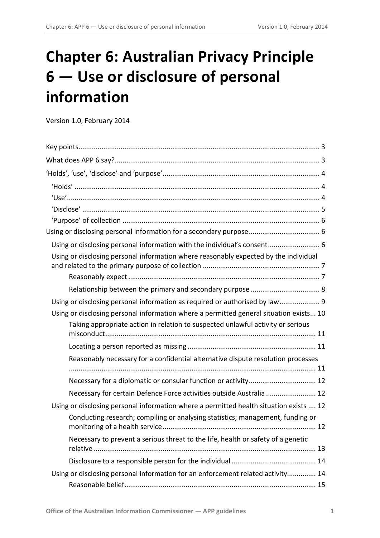# **Chapter 6: Australian Privacy Principle 6 — Use or disclosure of personal information**

Version 1.0, February 2014

| Using or disclosing personal information with the individual's consent 6                                                                                              |
|-----------------------------------------------------------------------------------------------------------------------------------------------------------------------|
| Using or disclosing personal information where reasonably expected by the individual                                                                                  |
|                                                                                                                                                                       |
|                                                                                                                                                                       |
| Using or disclosing personal information as required or authorised by law 9<br>Using or disclosing personal information where a permitted general situation exists 10 |
| Taking appropriate action in relation to suspected unlawful activity or serious                                                                                       |
|                                                                                                                                                                       |
|                                                                                                                                                                       |
| Reasonably necessary for a confidential alternative dispute resolution processes                                                                                      |
|                                                                                                                                                                       |
| Necessary for certain Defence Force activities outside Australia  12                                                                                                  |
| Using or disclosing personal information where a permitted health situation exists  12                                                                                |
| Conducting research; compiling or analysing statistics; management, funding or                                                                                        |
| Necessary to prevent a serious threat to the life, health or safety of a genetic                                                                                      |
|                                                                                                                                                                       |
| Using or disclosing personal information for an enforcement related activity 14                                                                                       |
|                                                                                                                                                                       |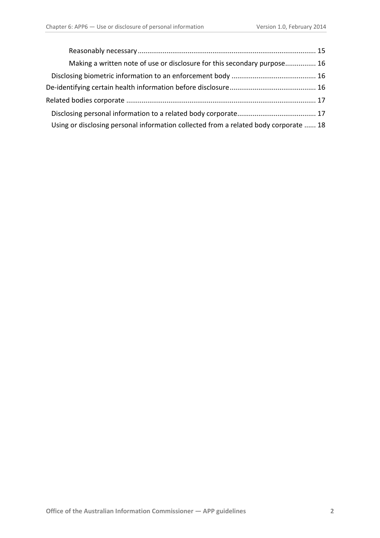| Making a written note of use or disclosure for this secondary purpose 16             |  |
|--------------------------------------------------------------------------------------|--|
|                                                                                      |  |
|                                                                                      |  |
|                                                                                      |  |
|                                                                                      |  |
| Using or disclosing personal information collected from a related body corporate  18 |  |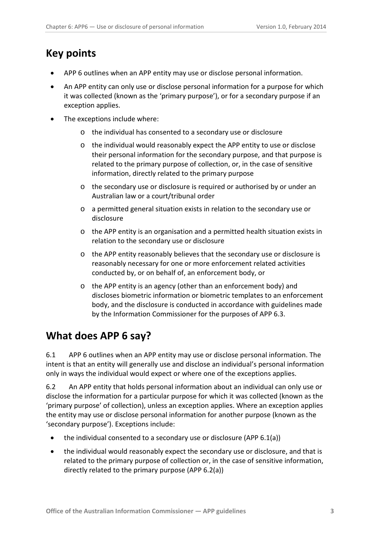# <span id="page-2-0"></span>**Key points**

- APP 6 outlines when an APP entity may use or disclose personal information.
- An APP entity can only use or disclose personal information for a purpose for which it was collected (known as the 'primary purpose'), or for a secondary purpose if an exception applies.
- The exceptions include where:
	- o the individual has consented to a secondary use or disclosure
	- o the individual would reasonably expect the APP entity to use or disclose their personal information for the secondary purpose, and that purpose is related to the primary purpose of collection, or, in the case of sensitive information, directly related to the primary purpose
	- o the secondary use or disclosure is required or authorised by or under an Australian law or a court/tribunal order
	- o a permitted general situation exists in relation to the secondary use or disclosure
	- o the APP entity is an organisation and a permitted health situation exists in relation to the secondary use or disclosure
	- o the APP entity reasonably believes that the secondary use or disclosure is reasonably necessary for one or more enforcement related activities conducted by, or on behalf of, an enforcement body, or
	- o the APP entity is an agency (other than an enforcement body) and discloses biometric information or biometric templates to an enforcement body, and the disclosure is conducted in accordance with guidelines made by the Information Commissioner for the purposes of APP 6.3.

# <span id="page-2-1"></span>**What does APP 6 say?**

6.1 APP 6 outlines when an APP entity may use or disclose personal information. The intent is that an entity will generally use and disclose an individual's personal information only in ways the individual would expect or where one of the exceptions applies.

<span id="page-2-2"></span>6.2 An APP entity that holds personal information about an individual can only use or disclose the information for a particular purpose for which it was collected (known as the 'primary purpose' of collection), unless an exception applies. Where an exception applies the entity may use or disclose personal information for another purpose (known as the 'secondary purpose'). Exceptions include:

- the individual consented to a secondary use or disclosure (APP 6.1(a))
- the individual would reasonably expect the secondary use or disclosure, and that is related to the primary purpose of collection or, in the case of sensitive information, directly related to the primary purpose (APP 6.2(a))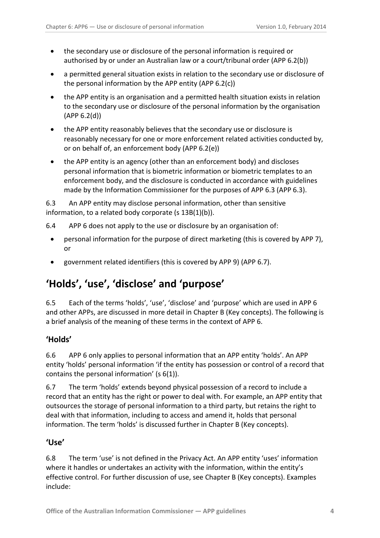- the secondary use or disclosure of the personal information is required or authorised by or under an Australian law or a court/tribunal order (APP 6.2(b))
- a permitted general situation exists in relation to the secondary use or disclosure of the personal information by the APP entity (APP 6.2(c))
- the APP entity is an organisation and a permitted health situation exists in relation to the secondary use or disclosure of the personal information by the organisation (APP 6.2(d))
- the APP entity reasonably believes that the secondary use or disclosure is reasonably necessary for one or more enforcement related activities conducted by, or on behalf of, an enforcement body (APP 6.2(e))
- the APP entity is an agency (other than an enforcement body) and discloses personal information that is biometric information or biometric templates to an enforcement body, and the disclosure is conducted in accordance with guidelines made by the Information Commissioner for the purposes of APP 6.3 (APP 6.3).

6.3 An APP entity may disclose personal information, other than sensitive information, to a related body corporate (s 13B(1)(b)).

- 6.4 APP 6 does not apply to the use or disclosure by an organisation of:
	- personal information for the purpose of direct marketing (this is covered by APP 7), or
	- government related identifiers (this is covered by APP 9) (APP 6.7).

# <span id="page-3-0"></span>**'Holds', 'use', 'disclose' and 'purpose'**

6.5 Each of the terms 'holds', 'use', 'disclose' and 'purpose' which are used in APP 6 and other APPs, are discussed in more detail in Chapter B (Key concepts). The following is a brief analysis of the meaning of these terms in the context of APP 6.

## <span id="page-3-1"></span>**'Holds'**

6.6 APP 6 only applies to personal information that an APP entity 'holds'. An APP entity 'holds' personal information 'if the entity has possession or control of a record that contains the personal information' (s 6(1)).

6.7 The term 'holds' extends beyond physical possession of a record to include a record that an entity has the right or power to deal with. For example, an APP entity that outsources the storage of personal information to a third party, but retains the right to deal with that information, including to access and amend it, holds that personal information. The term 'holds' is discussed further in Chapter B (Key concepts).

#### <span id="page-3-2"></span>**'Use'**

<span id="page-3-3"></span>6.8 The term 'use' is not defined in the Privacy Act. An APP entity 'uses' information where it handles or undertakes an activity with the information, within the entity's effective control. For further discussion of use, see Chapter B (Key concepts). Examples include: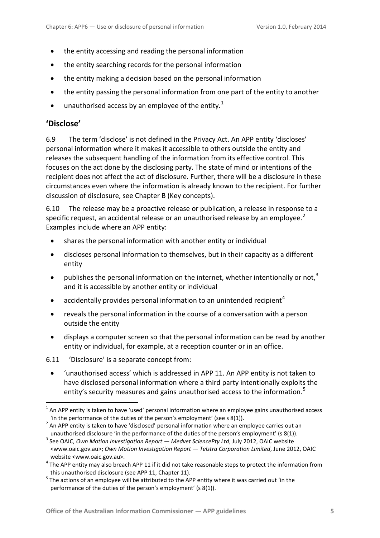- the entity accessing and reading the personal information
- the entity searching records for the personal information
- the entity making a decision based on the personal information
- the entity passing the personal information from one part of the entity to another
- $\bullet$  unauthorised access by an employee of the entity.<sup>[1](#page-17-1)</sup>

#### <span id="page-4-0"></span>**'Disclose'**

1

6.9 The term 'disclose' is not defined in the Privacy Act. An APP entity 'discloses' personal information where it makes it accessible to others outside the entity and releases the subsequent handling of the information from its effective control. This focuses on the act done by the disclosing party. The state of mind or intentions of the recipient does not affect the act of disclosure. Further, there will be a disclosure in these circumstances even where the information is already known to the recipient. For further discussion of disclosure, see Chapter B (Key concepts).

6.10 The release may be a proactive release or publication, a release in response to a specific request, an accidental release or an unauthorised release by an employee.<sup>[2](#page-4-1)</sup> Examples include where an APP entity:

- shares the personal information with another entity or individual
- discloses personal information to themselves, but in their capacity as a different entity
- publishes the personal information on the internet, whether intentionally or not,<sup>[3](#page-4-2)</sup> and it is accessible by another entity or individual
- accidentally provides personal information to an unintended recipient<sup>[4](#page-4-3)</sup>
- reveals the personal information in the course of a conversation with a person outside the entity
- displays a computer screen so that the personal information can be read by another entity or individual, for example, at a reception counter or in an office.
- 6.11 'Disclosure' is a separate concept from:
	- 'unauthorised access' which is addressed in APP 11. An APP entity is not taken to have disclosed personal information where a third party intentionally exploits the entity's security measures and gains unauthorised access to the information.<sup>[5](#page-4-4)</sup>

 $1$  An APP entity is taken to have 'used' personal information where an employee gains unauthorised access

<span id="page-4-1"></span><sup>&#</sup>x27;in the performance of the duties of the person's employment' (see s 8(1)).<br><sup>2</sup> An APP entity is taken to have 'disclosed' personal information where an employee carries out an unauthorised disclosure 'in the performance of the duties of the person's employment' (s 8(1)).

<span id="page-4-2"></span><sup>3</sup> See OAIC, *Own Motion Investigation Report — Medvet SciencePty Ltd*, July 2012, OAIC website <www.oaic.gov.au>; *Own Motion Investigation Report — Telstra Corporation Limited*, June 2012, OAIC website <www.oaic.gov.au>.<br><sup>4</sup> The APP entity may also breach APP 11 if it did not take reasonable steps to protect the information from

<span id="page-4-3"></span>

<span id="page-4-4"></span>this unauthorised disclosure (see APP 11, Chapter 11).<br><sup>5</sup> The actions of an employee will be attributed to the APP entity where it was carried out 'in the performance of the duties of the person's employment' (s 8(1)).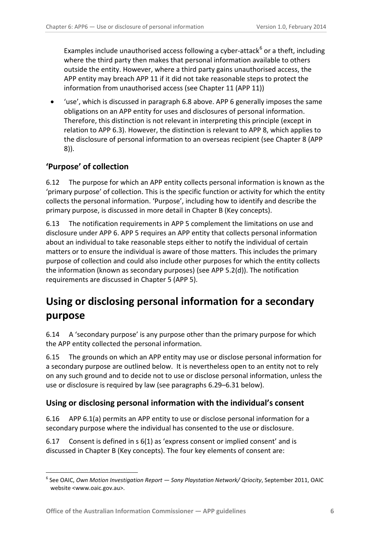Examples include unauthorised access following a cyber-attack $6$  or a theft, including where the third party then makes that personal information available to others outside the entity. However, where a third party gains unauthorised access, the APP entity may breach APP 11 if it did not take reasonable steps to protect the information from unauthorised access (see Chapter 11 (APP 11))

• 'use', which is discussed in paragraph [6.8](#page-3-3) above. APP 6 generally imposes the same obligations on an APP entity for uses and disclosures of personal information. Therefore, this distinction is not relevant in interpreting this principle (except in relation to APP 6.3). However, the distinction is relevant to APP 8, which applies to the disclosure of personal information to an overseas recipient (see Chapter 8 (APP 8)).

## <span id="page-5-0"></span>**'Purpose' of collection**

1

6.12 The purpose for which an APP entity collects personal information is known as the 'primary purpose' of collection. This is the specific function or activity for which the entity collects the personal information. 'Purpose', including how to identify and describe the primary purpose, is discussed in more detail in Chapter B (Key concepts).

6.13 The notification requirements in APP 5 complement the limitations on use and disclosure under APP 6. APP 5 requires an APP entity that collects personal information about an individual to take reasonable steps either to notify the individual of certain matters or to ensure the individual is aware of those matters. This includes the primary purpose of collection and could also include other purposes for which the entity collects the information (known as secondary purposes) (see APP 5.2(d)). The notification requirements are discussed in Chapter 5 (APP 5).

# <span id="page-5-1"></span>**Using or disclosing personal information for a secondary purpose**

6.14 A 'secondary purpose' is any purpose other than the primary purpose for which the APP entity collected the personal information.

6.15 The grounds on which an APP entity may use or disclose personal information for a secondary purpose are outlined below. It is nevertheless open to an entity not to rely on any such ground and to decide not to use or disclose personal information, unless the use or disclosure is required by law (see paragraphs [6.29](#page-8-1)[–6.31](#page-8-2) below).

#### <span id="page-5-2"></span>**Using or disclosing personal information with the individual's consent**

6.16 APP 6.1(a) permits an APP entity to use or disclose personal information for a secondary purpose where the individual has consented to the use or disclosure.

6.17 Consent is defined in s 6(1) as 'express consent or implied consent' and is discussed in Chapter B (Key concepts). The four key elements of consent are:

<span id="page-5-3"></span><sup>6</sup> See OAIC, *Own Motion Investigation Report — Sony Playstation Network/ Qriocity*, September 2011, OAIC website <www.oaic.gov.au>.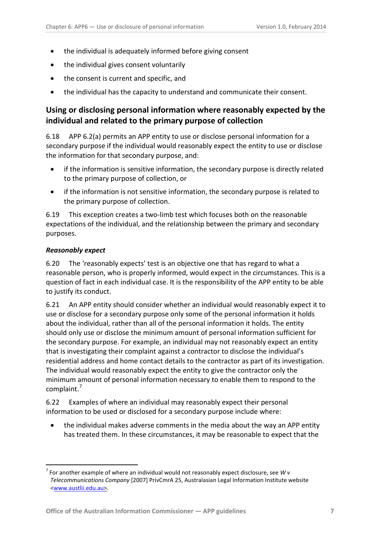- the individual is adequately informed before giving consent
- the individual gives consent voluntarily
- the consent is current and specific, and
- the individual has the capacity to understand and communicate their consent.

## <span id="page-6-0"></span>**Using or disclosing personal information where reasonably expected by the individual and related to the primary purpose of collection**

6.18 APP 6.2(a) permits an APP entity to use or disclose personal information for a secondary purpose if the individual would reasonably expect the entity to use or disclose the information for that secondary purpose, and:

- if the information is sensitive information, the secondary purpose is directly related to the primary purpose of collection, or
- if the information is not sensitive information, the secondary purpose is related to the primary purpose of collection.

6.19 This exception creates a two-limb test which focuses both on the reasonable expectations of the individual, and the relationship between the primary and secondary purposes.

#### <span id="page-6-1"></span>*Reasonably expect*

<u>.</u>

6.20 The 'reasonably expects' test is an objective one that has regard to what a reasonable person, who is properly informed, would expect in the circumstances. This is a question of fact in each individual case. It is the responsibility of the APP entity to be able to justify its conduct.

6.21 An APP entity should consider whether an individual would reasonably expect it to use or disclose for a secondary purpose only some of the personal information it holds about the individual, rather than all of the personal information it holds. The entity should only use or disclose the minimum amount of personal information sufficient for the secondary purpose. For example, an individual may not reasonably expect an entity that is investigating their complaint against a contractor to disclose the individual's residential address and home contact details to the contractor as part of its investigation. The individual would reasonably expect the entity to give the contractor only the minimum amount of personal information necessary to enable them to respond to the complaint.[7](#page-5-3)

<span id="page-6-2"></span>6.22 Examples of where an individual may reasonably expect their personal information to be used or disclosed for a secondary purpose include where:

• the individual makes adverse comments in the media about the way an APP entity has treated them. In these circumstances, it may be reasonable to expect that the

<sup>7</sup> For another example of where an individual would not reasonably expect disclosure, see *W v Telecommunications Company* [2007] PrivCmrA 25, Australasian Legal Information Institute website [<www.austlii.edu.au>](http://www.austlii.edu.au/).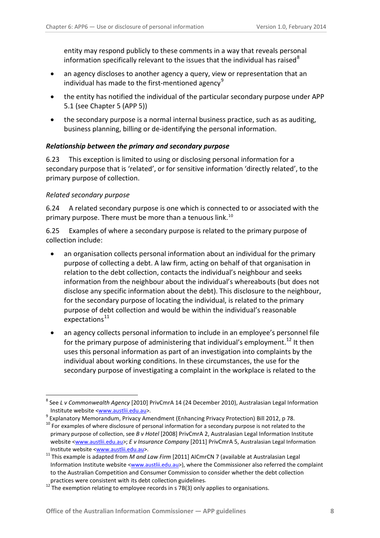entity may respond publicly to these comments in a way that reveals personal information specifically relevant to the issues that the individual has raised<sup>[8](#page-6-2)</sup>

- an agency discloses to another agency a query, view or representation that an individual has made to the first-mentioned agency $^9$  $^9$
- the entity has notified the individual of the particular secondary purpose under APP 5.1 (see Chapter 5 (APP 5))
- the secondary purpose is a normal internal business practice, such as as auditing, business planning, billing or de-identifying the personal information.

#### <span id="page-7-0"></span>*Relationship between the primary and secondary purpose*

6.23 This exception is limited to using or disclosing personal information for a secondary purpose that is 'related', or for sensitive information 'directly related', to the primary purpose of collection.

#### *Related secondary purpose*

1

6.24 A related secondary purpose is one which is connected to or associated with the primary purpose. There must be more than a tenuous link.<sup>[10](#page-7-2)</sup>

6.25 Examples of where a secondary purpose is related to the primary purpose of collection include:

- an organisation collects personal information about an individual for the primary purpose of collecting a debt. A law firm, acting on behalf of that organisation in relation to the debt collection, contacts the individual's neighbour and seeks information from the neighbour about the individual's whereabouts (but does not disclose any specific information about the debt). This disclosure to the neighbour, for the secondary purpose of locating the individual, is related to the primary purpose of debt collection and would be within the individual's reasonable  $expectations<sup>11</sup>$  $expectations<sup>11</sup>$  $expectations<sup>11</sup>$
- an agency collects personal information to include in an employee's personnel file for the primary purpose of administering that individual's employment.<sup>[12](#page-7-4)</sup> It then uses this personal information as part of an investigation into complaints by the individual about working conditions. In these circumstances, the use for the secondary purpose of investigating a complaint in the workplace is related to the

<sup>8</sup> See *L v Commonwealth Agency* [2010] PrivCmrA 14 (24 December 2010), Australasian Legal Information

<span id="page-7-1"></span><sup>&</sup>lt;sup>9</sup> Explanatory Memorandum, Privacy Amendment (Enhancing Privacy Protection) Bill 2012, p 78.

<span id="page-7-2"></span> $10$  For examples of where disclosure of personal information for a secondary purpose is not related to the primary purpose of collection, see *B v Hotel* [2008] PrivCmrA 2, Australasian Legal Information Institute website [<www.austlii.edu.au>](http://www.austlii.edu.au/); *E v Insurance Company* [2011] PrivCmrA 5, Australasian Legal Information Institute website [<www.austlii.edu.au>](http://www.austlii.edu.au/). <sup>11</sup> This example is adapted from *M and Law Firm* [2011] AICmrCN 7 (available at Australasian Legal

<span id="page-7-5"></span><span id="page-7-3"></span>Information Institute website [<www.austlii.edu.au>](http://www.austlii.edu.au/)), where the Commissioner also referred the complaint to the Australian Competition and Consumer Commission to consider whether the debt collection

<span id="page-7-4"></span>practices were consistent with its debt collection guidelines.<br><sup>12</sup> The exemption relating to employee records in s 7B(3) only applies to organisations.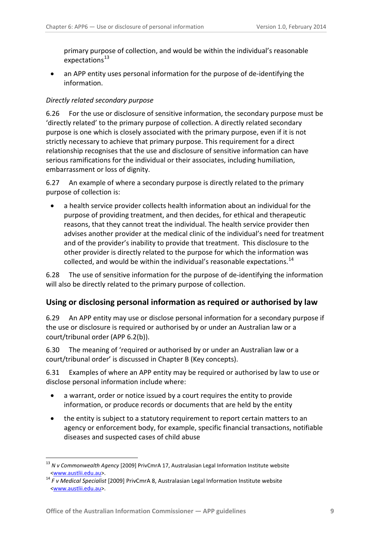primary purpose of collection, and would be within the individual's reasonable expectations $^{13}$  $^{13}$  $^{13}$ 

• an APP entity uses personal information for the purpose of de-identifying the information.

#### *Directly related secondary purpose*

6.26 For the use or disclosure of sensitive information, the secondary purpose must be 'directly related' to the primary purpose of collection. A directly related secondary purpose is one which is closely associated with the primary purpose, even if it is not strictly necessary to achieve that primary purpose. This requirement for a direct relationship recognises that the use and disclosure of sensitive information can have serious ramifications for the individual or their associates, including humiliation, embarrassment or loss of dignity.

6.27 An example of where a secondary purpose is directly related to the primary purpose of collection is:

• a health service provider collects health information about an individual for the purpose of providing treatment, and then decides, for ethical and therapeutic reasons, that they cannot treat the individual. The health service provider then advises another provider at the medical clinic of the individual's need for treatment and of the provider's inability to provide that treatment. This disclosure to the other provider is directly related to the purpose for which the information was collected, and would be within the individual's reasonable expectations.<sup>[14](#page-8-3)</sup>

6.28 The use of sensitive information for the purpose of de-identifying the information will also be directly related to the primary purpose of collection.

#### <span id="page-8-0"></span>**Using or disclosing personal information as required or authorised by law**

<span id="page-8-1"></span>6.29 An APP entity may use or disclose personal information for a secondary purpose if the use or disclosure is required or authorised by or under an Australian law or a court/tribunal order (APP 6.2(b)).

6.30 The meaning of 'required or authorised by or under an Australian law or a court/tribunal order' is discussed in Chapter B (Key concepts).

<span id="page-8-2"></span>6.31 Examples of where an APP entity may be required or authorised by law to use or disclose personal information include where:

- a warrant, order or notice issued by a court requires the entity to provide information, or produce records or documents that are held by the entity
- the entity is subject to a statutory requirement to report certain matters to an agency or enforcement body, for example, specific financial transactions, notifiable diseases and suspected cases of child abuse

1

<sup>13</sup> *N v Commonwealth Agency* [2009] PrivCmrA 17, Australasian Legal Information Institute website

<span id="page-8-4"></span><span id="page-8-3"></span>[<sup>&</sup>lt;www.austlii.edu.au>](http://www.austlii.edu.au/). <sup>14</sup> *F v Medical Specialist* [2009] PrivCmrA 8, Australasian Legal Information Institute website [<www.austlii.edu.au>](http://www.austlii.edu.au/).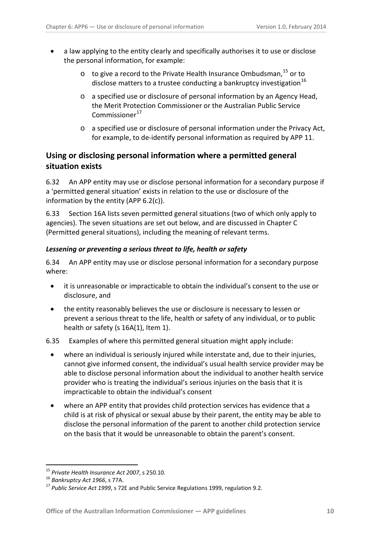- a law applying to the entity clearly and specifically authorises it to use or disclose the personal information, for example:
	- $\circ$  to give a record to the Private Health Insurance Ombudsman, <sup>[15](#page-8-4)</sup> or to disclose matters to a trustee conducting a bankruptcy investigation<sup>[16](#page-9-1)</sup>
	- o a specified use or disclosure of personal information by an Agency Head, the Merit Protection Commissioner or the Australian Public Service Commissioner<sup>[17](#page-9-2)</sup>
	- o a specified use or disclosure of personal information under the Privacy Act, for example, to de-identify personal information as required by APP 11.

## <span id="page-9-0"></span>**Using or disclosing personal information where a permitted general situation exists**

6.32 An APP entity may use or disclose personal information for a secondary purpose if a 'permitted general situation' exists in relation to the use or disclosure of the information by the entity (APP 6.2(c)).

6.33 Section 16A lists seven permitted general situations (two of which only apply to agencies). The seven situations are set out below, and are discussed in Chapter C (Permitted general situations), including the meaning of relevant terms.

#### *Lessening or preventing a serious threat to life, health or safety*

6.34 An APP entity may use or disclose personal information for a secondary purpose where:

- it is unreasonable or impracticable to obtain the individual's consent to the use or disclosure, and
- the entity reasonably believes the use or disclosure is necessary to lessen or prevent a serious threat to the life, health or safety of any individual, or to public health or safety (s 16A(1), Item 1).
- 6.35 Examples of where this permitted general situation might apply include:
	- where an individual is seriously injured while interstate and, due to their injuries, cannot give informed consent, the individual's usual health service provider may be able to disclose personal information about the individual to another health service provider who is treating the individual's serious injuries on the basis that it is impracticable to obtain the individual's consent
	- where an APP entity that provides child protection services has evidence that a child is at risk of physical or sexual abuse by their parent, the entity may be able to disclose the personal information of the parent to another child protection service on the basis that it would be unreasonable to obtain the parent's consent.

<span id="page-9-2"></span><span id="page-9-1"></span>

<span id="page-9-3"></span><sup>&</sup>lt;sup>15</sup> Private Health Insurance Act 2007, s 250.10.<br><sup>16</sup> Bankruptcy Act 1966, s 77A.<br><sup>17</sup> Public Service Act 1999, s 72E and Public Service Regulations 1999, regulation 9.2.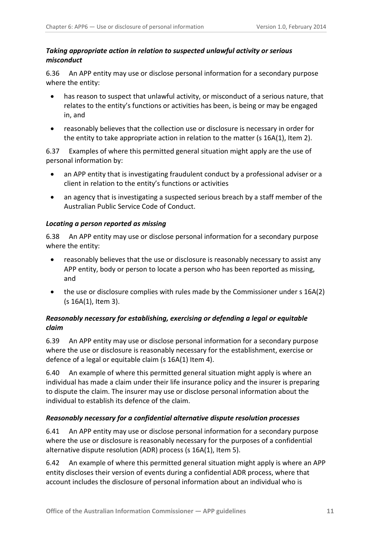#### <span id="page-10-0"></span>*Taking appropriate action in relation to suspected unlawful activity or serious misconduct*

6.36 An APP entity may use or disclose personal information for a secondary purpose where the entity:

- has reason to suspect that unlawful activity, or misconduct of a serious nature, that relates to the entity's functions or activities has been, is being or may be engaged in, and
- reasonably believes that the collection use or disclosure is necessary in order for the entity to take appropriate action in relation to the matter (s  $16A(1)$ , Item 2).

6.37 Examples of where this permitted general situation might apply are the use of personal information by:

- an APP entity that is investigating fraudulent conduct by a professional adviser or a client in relation to the entity's functions or activities
- an agency that is investigating a suspected serious breach by a staff member of the Australian Public Service Code of Conduct.

#### <span id="page-10-1"></span>*Locating a person reported as missing*

6.38 An APP entity may use or disclose personal information for a secondary purpose where the entity:

- reasonably believes that the use or disclosure is reasonably necessary to assist any APP entity, body or person to locate a person who has been reported as missing, and
- the use or disclosure complies with rules made by the Commissioner under s 16A(2) (s 16A(1), Item 3).

#### *Reasonably necessary for establishing, exercising or defending a legal or equitable claim*

6.39 An APP entity may use or disclose personal information for a secondary purpose where the use or disclosure is reasonably necessary for the establishment, exercise or defence of a legal or equitable claim (s 16A(1) Item 4).

6.40 An example of where this permitted general situation might apply is where an individual has made a claim under their life insurance policy and the insurer is preparing to dispute the claim. The insurer may use or disclose personal information about the individual to establish its defence of the claim.

#### <span id="page-10-2"></span>*Reasonably necessary for a confidential alternative dispute resolution processes*

6.41 An APP entity may use or disclose personal information for a secondary purpose where the use or disclosure is reasonably necessary for the purposes of a confidential alternative dispute resolution (ADR) process (s 16A(1), Item 5).

6.42 An example of where this permitted general situation might apply is where an APP entity discloses their version of events during a confidential ADR process, where that account includes the disclosure of personal information about an individual who is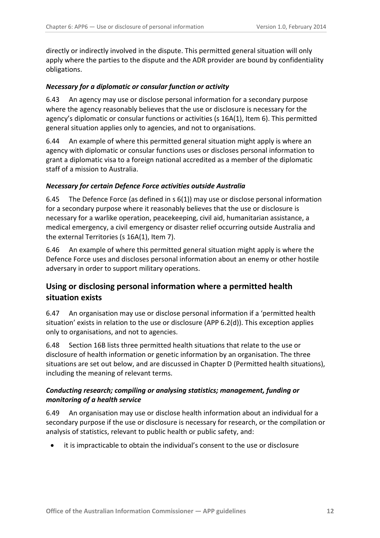directly or indirectly involved in the dispute. This permitted general situation will only apply where the parties to the dispute and the ADR provider are bound by confidentiality obligations.

#### <span id="page-11-0"></span>*Necessary for a diplomatic or consular function or activity*

6.43 An agency may use or disclose personal information for a secondary purpose where the agency reasonably believes that the use or disclosure is necessary for the agency's diplomatic or consular functions or activities (s 16A(1), Item 6). This permitted general situation applies only to agencies, and not to organisations.

6.44 An example of where this permitted general situation might apply is where an agency with diplomatic or consular functions uses or discloses personal information to grant a diplomatic visa to a foreign national accredited as a member of the diplomatic staff of a mission to Australia.

#### <span id="page-11-1"></span>*Necessary for certain Defence Force activities outside Australia*

6.45 The Defence Force (as defined in s 6(1)) may use or disclose personal information for a secondary purpose where it reasonably believes that the use or disclosure is necessary for a warlike operation, peacekeeping, civil aid, humanitarian assistance, a medical emergency, a civil emergency or disaster relief occurring outside Australia and the external Territories (s 16A(1), Item 7).

6.46 An example of where this permitted general situation might apply is where the Defence Force uses and discloses personal information about an enemy or other hostile adversary in order to support military operations.

## <span id="page-11-2"></span>**Using or disclosing personal information where a permitted health situation exists**

6.47 An organisation may use or disclose personal information if a 'permitted health situation' exists in relation to the use or disclosure (APP 6.2(d)). This exception applies only to organisations, and not to agencies.

6.48 Section 16B lists three permitted health situations that relate to the use or disclosure of health information or genetic information by an organisation. The three situations are set out below, and are discussed in Chapter D (Permitted health situations), including the meaning of relevant terms.

#### <span id="page-11-3"></span>*Conducting research; compiling or analysing statistics; management, funding or monitoring of a health service*

6.49 An organisation may use or disclose health information about an individual for a secondary purpose if the use or disclosure is necessary for research, or the compilation or analysis of statistics, relevant to public health or public safety, and:

• it is impracticable to obtain the individual's consent to the use or disclosure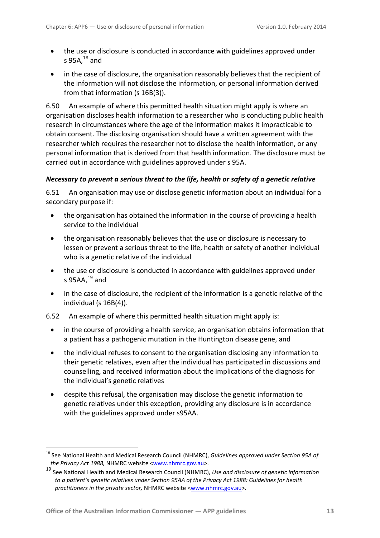- the use or disclosure is conducted in accordance with guidelines approved under s 95A, $^{18}$  $^{18}$  $^{18}$  and
- in the case of disclosure, the organisation reasonably believes that the recipient of the information will not disclose the information, or personal information derived from that information (s 16B(3)).

6.50 An example of where this permitted health situation might apply is where an organisation discloses health information to a researcher who is conducting public health research in circumstances where the age of the information makes it impracticable to obtain consent. The disclosing organisation should have a written agreement with the researcher which requires the researcher not to disclose the health information, or any personal information that is derived from that health information. The disclosure must be carried out in accordance with guidelines approved under s 95A.

#### <span id="page-12-0"></span>*Necessary to prevent a serious threat to the life, health or safety of a genetic relative*

6.51 An organisation may use or disclose genetic information about an individual for a secondary purpose if:

- the organisation has obtained the information in the course of providing a health service to the individual
- the organisation reasonably believes that the use or disclosure is necessary to lessen or prevent a serious threat to the life, health or safety of another individual who is a genetic relative of the individual
- the use or disclosure is conducted in accordance with guidelines approved under s 95AA, $^{19}$  $^{19}$  $^{19}$  and
- in the case of disclosure, the recipient of the information is a genetic relative of the individual (s 16B(4)).
- 6.52 An example of where this permitted health situation might apply is:
	- in the course of providing a health service, an organisation obtains information that a patient has a pathogenic mutation in the Huntington disease gene, and
	- the individual refuses to consent to the organisation disclosing any information to their genetic relatives, even after the individual has participated in discussions and counselling, and received information about the implications of the diagnosis for the individual's genetic relatives
	- despite this refusal, the organisation may disclose the genetic information to genetic relatives under this exception, providing any disclosure is in accordance with the guidelines approved under s95AA.

1

<sup>18</sup> See National Health and Medical Research Council (NHMRC), *Guidelines approved under Section 95A of the Privacy Act 1988,* NHMRC website [<www.nhmrc.gov.au>](http://www.nhmrc.gov.au/guidelines/publications/e43).

<span id="page-12-2"></span><span id="page-12-1"></span><sup>19</sup> See National Health and Medical Research Council (NHMRC), *Use and disclosure of genetic information to a patient's genetic relatives under Section 95AA of the Privacy Act 1988: Guidelines for health practitioners in the private sector,* NHMRC website [<www.nhmrc.gov.au>](http://www.nhmrc.gov.au/guidelines/publications/e43).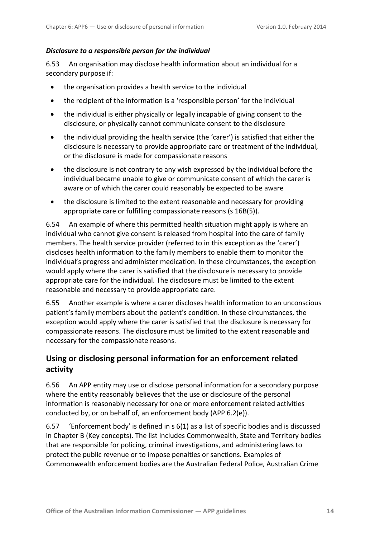#### <span id="page-13-0"></span>*Disclosure to a responsible person for the individual*

6.53 An organisation may disclose health information about an individual for a secondary purpose if:

- the organisation provides a health service to the individual
- the recipient of the information is a 'responsible person' for the individual
- the individual is either physically or legally incapable of giving consent to the disclosure, or physically cannot communicate consent to the disclosure
- the individual providing the health service (the 'carer') is satisfied that either the disclosure is necessary to provide appropriate care or treatment of the individual, or the disclosure is made for compassionate reasons
- the disclosure is not contrary to any wish expressed by the individual before the individual became unable to give or communicate consent of which the carer is aware or of which the carer could reasonably be expected to be aware
- the disclosure is limited to the extent reasonable and necessary for providing appropriate care or fulfilling compassionate reasons (s 16B(5)).

6.54 An example of where this permitted health situation might apply is where an individual who cannot give consent is released from hospital into the care of family members. The health service provider (referred to in this exception as the 'carer') discloses health information to the family members to enable them to monitor the individual's progress and administer medication. In these circumstances, the exception would apply where the carer is satisfied that the disclosure is necessary to provide appropriate care for the individual. The disclosure must be limited to the extent reasonable and necessary to provide appropriate care.

6.55 Another example is where a carer discloses health information to an unconscious patient's family members about the patient's condition. In these circumstances, the exception would apply where the carer is satisfied that the disclosure is necessary for compassionate reasons. The disclosure must be limited to the extent reasonable and necessary for the compassionate reasons.

## <span id="page-13-1"></span>**Using or disclosing personal information for an enforcement related activity**

6.56 An APP entity may use or disclose personal information for a secondary purpose where the entity reasonably believes that the use or disclosure of the personal information is reasonably necessary for one or more enforcement related activities conducted by, or on behalf of, an enforcement body (APP 6.2(e)).

6.57 'Enforcement body' is defined in s 6(1) as a list of specific bodies and is discussed in Chapter B (Key concepts). The list includes Commonwealth, State and Territory bodies that are responsible for policing, criminal investigations, and administering laws to protect the public revenue or to impose penalties or sanctions. Examples of Commonwealth enforcement bodies are the Australian Federal Police, Australian Crime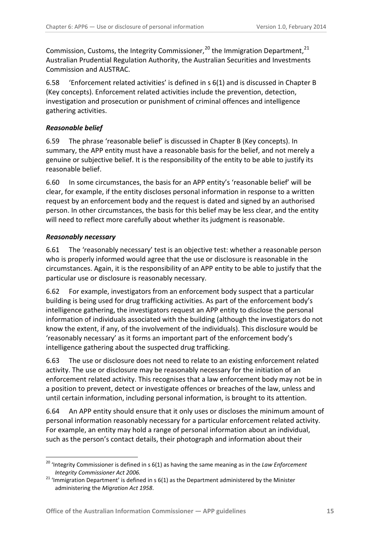Commission, Customs, the Integrity Commissioner,  $^{20}$  $^{20}$  $^{20}$  the Immigration Department,  $^{21}$  $^{21}$  $^{21}$ Australian Prudential Regulation Authority, the Australian Securities and Investments Commission and AUSTRAC.

6.58 'Enforcement related activities' is defined in s 6(1) and is discussed in Chapter B (Key concepts). Enforcement related activities include the prevention, detection, investigation and prosecution or punishment of criminal offences and intelligence gathering activities.

#### <span id="page-14-0"></span>*Reasonable belief*

6.59 The phrase 'reasonable belief' is discussed in Chapter B (Key concepts). In summary, the APP entity must have a reasonable basis for the belief, and not merely a genuine or subjective belief. It is the responsibility of the entity to be able to justify its reasonable belief.

6.60 In some circumstances, the basis for an APP entity's 'reasonable belief' will be clear, for example, if the entity discloses personal information in response to a written request by an enforcement body and the request is dated and signed by an authorised person. In other circumstances, the basis for this belief may be less clear, and the entity will need to reflect more carefully about whether its judgment is reasonable.

#### <span id="page-14-1"></span>*Reasonably necessary*

1

6.61 The 'reasonably necessary' test is an objective test: whether a reasonable person who is properly informed would agree that the use or disclosure is reasonable in the circumstances. Again, it is the responsibility of an APP entity to be able to justify that the particular use or disclosure is reasonably necessary.

6.62 For example, investigators from an enforcement body suspect that a particular building is being used for drug trafficking activities. As part of the enforcement body's intelligence gathering, the investigators request an APP entity to disclose the personal information of individuals associated with the building (although the investigators do not know the extent, if any, of the involvement of the individuals). This disclosure would be 'reasonably necessary' as it forms an important part of the enforcement body's intelligence gathering about the suspected drug trafficking.

6.63 The use or disclosure does not need to relate to an existing enforcement related activity. The use or disclosure may be reasonably necessary for the initiation of an enforcement related activity. This recognises that a law enforcement body may not be in a position to prevent, detect or investigate offences or breaches of the law, unless and until certain information, including personal information, is brought to its attention.

6.64 An APP entity should ensure that it only uses or discloses the minimum amount of personal information reasonably necessary for a particular enforcement related activity. For example, an entity may hold a range of personal information about an individual, such as the person's contact details, their photograph and information about their

<span id="page-14-3"></span><sup>20</sup> 'Integrity Commissioner is defined in s 6(1) as having the same meaning as in the *Law Enforcement Integrity Commissioner Act 2006.*

<span id="page-14-2"></span><sup>&</sup>lt;sup>21</sup> 'Immigration Department' is defined in s  $6(1)$  as the Department administered by the Minister administering the *Migration Act 1958*.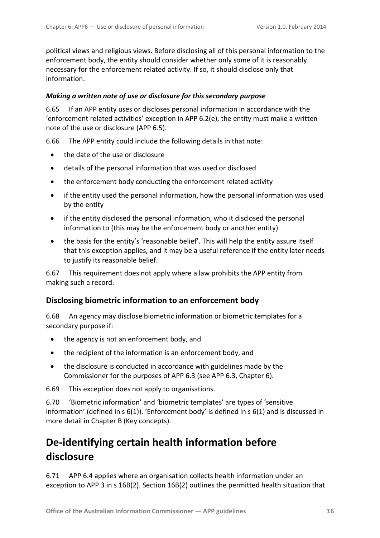political views and religious views. Before disclosing all of this personal information to the enforcement body, the entity should consider whether only some of it is reasonably necessary for the enforcement related activity. If so, it should disclose only that information.

#### <span id="page-15-0"></span>*Making a written note of use or disclosure for this secondary purpose*

6.65 If an APP entity uses or discloses personal information in accordance with the 'enforcement related activities' exception in APP 6.2(e), the entity must make a written note of the use or disclosure (APP 6.5).

6.66 The APP entity could include the following details in that note:

- the date of the use or disclosure
- details of the personal information that was used or disclosed
- the enforcement body conducting the enforcement related activity
- if the entity used the personal information, how the personal information was used by the entity
- if the entity disclosed the personal information, who it disclosed the personal information to (this may be the enforcement body or another entity)
- the basis for the entity's 'reasonable belief'. This will help the entity assure itself that this exception applies, and it may be a useful reference if the entity later needs to justify its reasonable belief.

6.67 This requirement does not apply where a law prohibits the APP entity from making such a record.

#### <span id="page-15-1"></span>**Disclosing biometric information to an enforcement body**

6.68 An agency may disclose biometric information or biometric templates for a secondary purpose if:

- the agency is not an enforcement body, and
- the recipient of the information is an enforcement body, and
- the disclosure is conducted in accordance with guidelines made by the Commissioner for the purposes of APP 6.3 (see APP 6.3, Chapter 6).

6.69 This exception does not apply to organisations.

6.70 'Biometric information' and 'biometric templates' are types of 'sensitive information' (defined in s 6(1)). 'Enforcement body' is defined in s 6(1) and is discussed in more detail in Chapter B (Key concepts).

# <span id="page-15-2"></span>**De-identifying certain health information before disclosure**

6.71 APP 6.4 applies where an organisation collects health information under an exception to APP 3 in s 16B(2). Section 16B(2) outlines the permitted health situation that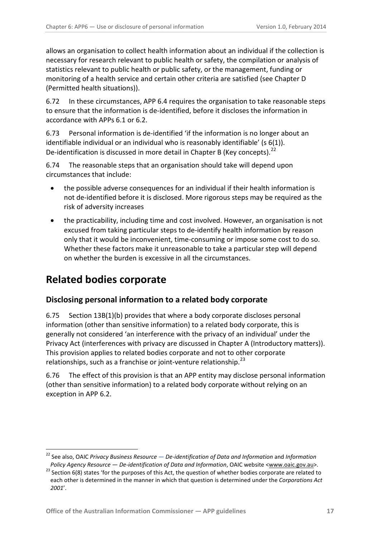allows an organisation to collect health information about an individual if the collection is necessary for research relevant to public health or safety, the compilation or analysis of statistics relevant to public health or public safety, or the management, funding or monitoring of a health service and certain other criteria are satisfied (see Chapter D (Permitted health situations)).

6.72 In these circumstances, APP 6.4 requires the organisation to take reasonable steps to ensure that the information is de-identified, before it discloses the information in accordance with APPs 6.1 or 6.2.

6.73 Personal information is de-identified 'if the information is no longer about an identifiable individual or an individual who is reasonably identifiable' (s 6(1)). De-identification is discussed in more detail in Chapter B (Key concepts).<sup>[22](#page-14-3)</sup>

6.74 The reasonable steps that an organisation should take will depend upon circumstances that include:

- the possible adverse consequences for an individual if their health information is not de-identified before it is disclosed. More rigorous steps may be required as the risk of adversity increases
- the practicability, including time and cost involved. However, an organisation is not excused from taking particular steps to de-identify health information by reason only that it would be inconvenient, time-consuming or impose some cost to do so. Whether these factors make it unreasonable to take a particular step will depend on whether the burden is excessive in all the circumstances.

# <span id="page-16-0"></span>**Related bodies corporate**

-

## <span id="page-16-1"></span>**Disclosing personal information to a related body corporate**

6.75 Section 13B(1)(b) provides that where a body corporate discloses personal information (other than sensitive information) to a related body corporate, this is generally not considered 'an interference with the privacy of an individual' under the Privacy Act (interferences with privacy are discussed in Chapter A (Introductory matters)). This provision applies to related bodies corporate and not to other corporate relationships, such as a franchise or joint-venture relationship.<sup>[23](#page-16-2)</sup>

6.76 The effect of this provision is that an APP entity may disclose personal information (other than sensitive information) to a related body corporate without relying on an exception in APP 6.2.

<sup>&</sup>lt;sup>22</sup> See also, OAIC Privacy Business Resource — De-identification of Data and Information and Information

<span id="page-16-2"></span>*Policy Agency Resource — De-identification of Data and Information*, OAIC website [<www.oaic.gov.au>](http://www.oaic.gov.au/).<br><sup>23</sup> Section 6(8) states 'for the purposes of this Act, the question of whether bodies corporate are related to each other is determined in the manner in which that question is determined under the *Corporations Act 2001*'.